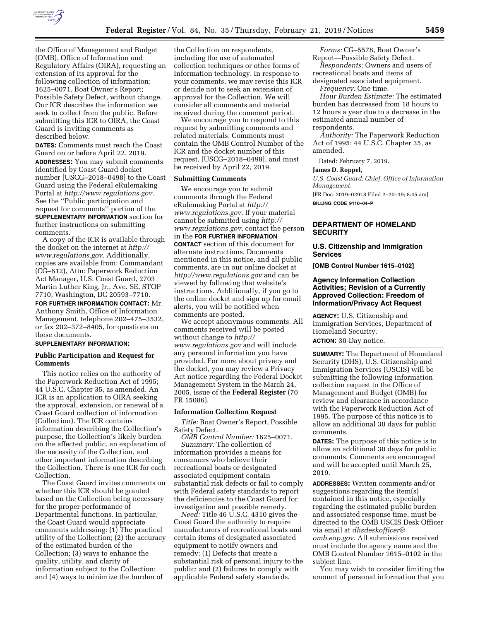

the Office of Management and Budget (OMB), Office of Information and Regulatory Affairs (OIRA), requesting an extension of its approval for the following collection of information: 1625–0071, Boat Owner's Report; Possible Safety Defect, without change. Our ICR describes the information we seek to collect from the public. Before submitting this ICR to OIRA, the Coast Guard is inviting comments as described below.

**DATES:** Comments must reach the Coast Guard on or before April 22, 2019. **ADDRESSES:** You may submit comments identified by Coast Guard docket number [USCG–2018–0498] to the Coast Guard using the Federal eRulemaking Portal at *[http://www.regulations.gov.](http://www.regulations.gov)*  See the ''Public participation and request for comments'' portion of the **SUPPLEMENTARY INFORMATION** section for further instructions on submitting comments.

A copy of the ICR is available through the docket on the internet at *[http://](http://www.regulations.gov) [www.regulations.gov.](http://www.regulations.gov)* Additionally, copies are available from: Commandant (CG–612), Attn: Paperwork Reduction Act Manager, U.S. Coast Guard, 2703 Martin Luther King, Jr., Ave. SE, STOP 7710, Washington, DC 20593–7710.

**FOR FURTHER INFORMATION CONTACT:** Mr. Anthony Smith, Office of Information Management, telephone 202–475–3532, or fax 202–372–8405, for questions on these documents.

## **SUPPLEMENTARY INFORMATION:**

#### **Public Participation and Request for Comments**

This notice relies on the authority of the Paperwork Reduction Act of 1995; 44 U.S.C. Chapter 35, as amended. An ICR is an application to OIRA seeking the approval, extension, or renewal of a Coast Guard collection of information (Collection). The ICR contains information describing the Collection's purpose, the Collection's likely burden on the affected public, an explanation of the necessity of the Collection, and other important information describing the Collection. There is one ICR for each Collection.

The Coast Guard invites comments on whether this ICR should be granted based on the Collection being necessary for the proper performance of Departmental functions. In particular, the Coast Guard would appreciate comments addressing: (1) The practical utility of the Collection; (2) the accuracy of the estimated burden of the Collection; (3) ways to enhance the quality, utility, and clarity of information subject to the Collection; and (4) ways to minimize the burden of

the Collection on respondents, including the use of automated collection techniques or other forms of information technology. In response to your comments, we may revise this ICR or decide not to seek an extension of approval for the Collection. We will consider all comments and material received during the comment period.

We encourage you to respond to this request by submitting comments and related materials. Comments must contain the OMB Control Number of the ICR and the docket number of this request, [USCG–2018–0498], and must be received by April 22, 2019.

#### **Submitting Comments**

We encourage you to submit comments through the Federal eRulemaking Portal at *[http://](http://www.regulations.gov) [www.regulations.gov.](http://www.regulations.gov)* If your material cannot be submitted using *[http://](http://www.regulations.gov) [www.regulations.gov,](http://www.regulations.gov)* contact the person in the **FOR FURTHER INFORMATION CONTACT** section of this document for alternate instructions. Documents mentioned in this notice, and all public comments, are in our online docket at *<http://www.regulations.gov>* and can be viewed by following that website's instructions. Additionally, if you go to the online docket and sign up for email alerts, you will be notified when comments are posted.

We accept anonymous comments. All comments received will be posted without change to *[http://](http://www.regulations.gov) [www.regulations.gov](http://www.regulations.gov)* and will include any personal information you have provided. For more about privacy and the docket, you may review a Privacy Act notice regarding the Federal Docket Management System in the March 24, 2005, issue of the **Federal Register** (70 FR 15086).

### **Information Collection Request**

*Title:* Boat Owner's Report, Possible Safety Defect.

*OMB Control Number:* 1625–0071. *Summary:* The collection of information provides a means for consumers who believe their recreational boats or designated associated equipment contain substantial risk defects or fail to comply with Federal safety standards to report the deficiencies to the Coast Guard for investigation and possible remedy.

*Need:* Title 46 U.S.C. 4310 gives the Coast Guard the authority to require manufacturers of recreational boats and certain items of designated associated equipment to notify owners and remedy: (1) Defects that create a substantial risk of personal injury to the public; and (2) failures to comply with applicable Federal safety standards.

*Forms:* CG–5578, Boat Owner's Report—Possible Safety Defect.

*Respondents:* Owners and users of recreational boats and items of

designated associated equipment. *Frequency:* One time.

*Hour Burden Estimate:* The estimated burden has decreased from 18 hours to 12 hours a year due to a decrease in the estimated annual number of respondents.

*Authority:* The Paperwork Reduction Act of 1995; 44 U.S.C. Chapter 35, as amended.

Dated: February 7, 2019.

#### **James D. Roppel,**

*U.S. Coast Guard, Chief, Office of Information Management.* 

[FR Doc. 2019–02918 Filed 2–20–19; 8:45 am] **BILLING CODE 9110–04–P** 

## **DEPARTMENT OF HOMELAND SECURITY**

### **U.S. Citizenship and Immigration Services**

**[OMB Control Number 1615–0102]** 

## **Agency Information Collection Activities; Revision of a Currently Approved Collection: Freedom of Information/Privacy Act Request**

**AGENCY:** U.S. Citizenship and Immigration Services, Department of Homeland Security.

**ACTION:** 30-Day notice.

**SUMMARY:** The Department of Homeland Security (DHS), U.S. Citizenship and Immigration Services (USCIS) will be submitting the following information collection request to the Office of Management and Budget (OMB) for review and clearance in accordance with the Paperwork Reduction Act of 1995. The purpose of this notice is to allow an additional 30 days for public comments.

**DATES:** The purpose of this notice is to allow an additional 30 days for public comments. Comments are encouraged and will be accepted until March 25, 2019.

**ADDRESSES:** Written comments and/or suggestions regarding the item(s) contained in this notice, especially regarding the estimated public burden and associated response time, must be directed to the OMB USCIS Desk Officer via email at *[dhsdeskofficer@](mailto:dhsdeskofficer@omb.eop.gov) [omb.eop.gov](mailto:dhsdeskofficer@omb.eop.gov)*. All submissions received must include the agency name and the OMB Control Number 1615–0102 in the subject line.

You may wish to consider limiting the amount of personal information that you